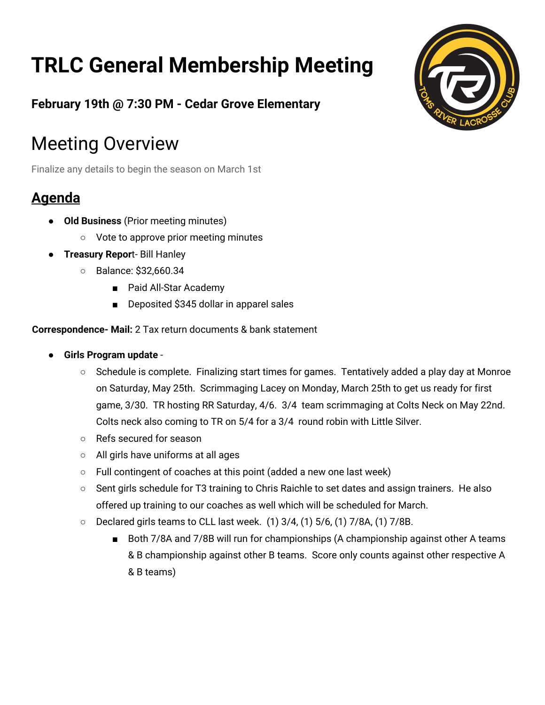# **TRLC General Membership Meeting**



**February 19th @ 7:30 PM - Cedar Grove Elementary**

## Meeting Overview

Finalize any details to begin the season on March 1st

### **Agenda**

- **Old Business** (Prior meeting minutes)
	- Vote to approve prior meeting minutes
- **Treasury Repor**t- Bill Hanley
	- Balance: \$32,660.34
		- Paid All-Star Academy
		- Deposited \$345 dollar in apparel sales

#### **Correspondence- Mail:** 2 Tax return documents & bank statement

- **Girls Program update**
	- Schedule is complete. Finalizing start times for games. Tentatively added a play day at Monroe on Saturday, May 25th. Scrimmaging Lacey on Monday, March 25th to get us ready for first game, 3/30. TR hosting RR Saturday, 4/6. 3/4 team scrimmaging at Colts Neck on May 22nd. Colts neck also coming to TR on 5/4 for a 3/4 round robin with Little Silver.
	- Refs secured for season
	- All girls have uniforms at all ages
	- Full contingent of coaches at this point (added a new one last week)
	- Sent girls schedule for T3 training to Chris Raichle to set dates and assign trainers. He also offered up training to our coaches as well which will be scheduled for March.
	- Declared girls teams to CLL last week. (1) 3/4, (1) 5/6, (1) 7/8A, (1) 7/8B.
		- Both 7/8A and 7/8B will run for championships (A championship against other A teams & B championship against other B teams. Score only counts against other respective A & B teams)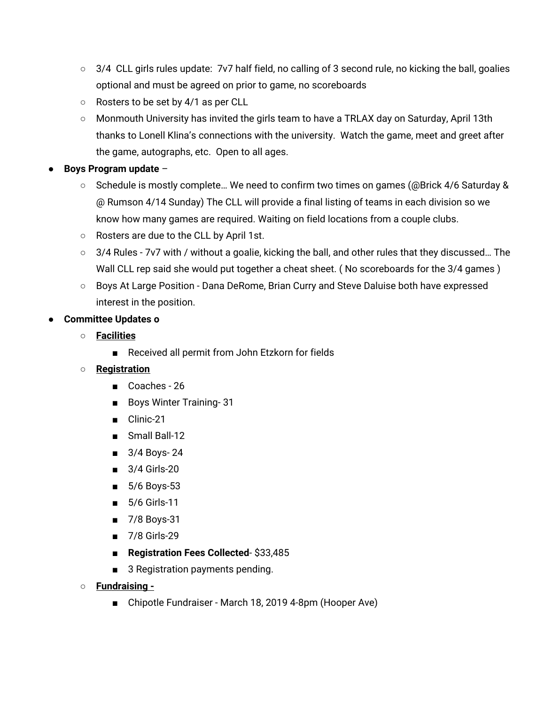- 3/4 CLL girls rules update: 7v7 half field, no calling of 3 second rule, no kicking the ball, goalies optional and must be agreed on prior to game, no scoreboards
- Rosters to be set by 4/1 as per CLL
- Monmouth University has invited the girls team to have a TRLAX day on Saturday, April 13th thanks to Lonell Klina's connections with the university. Watch the game, meet and greet after the game, autographs, etc. Open to all ages.

#### ● **Boys Program update** –

- Schedule is mostly complete… We need to confirm two times on games (@Brick 4/6 Saturday & @ Rumson 4/14 Sunday) The CLL will provide a final listing of teams in each division so we know how many games are required. Waiting on field locations from a couple clubs.
- Rosters are due to the CLL by April 1st.
- 3/4 Rules 7v7 with / without a goalie, kicking the ball, and other rules that they discussed… The Wall CLL rep said she would put together a cheat sheet. (No scoreboards for the 3/4 games)
- Boys At Large Position Dana DeRome, Brian Curry and Steve Daluise both have expressed interest in the position.

#### **● Committee Updates o**

- **○ Facilities**
	- Received all permit from John Etzkorn for fields

#### **○ Registration**

- Coaches 26
- Boys Winter Training- 31
- Clinic-21
- Small Ball-12
- 3/4 Boys- 24
- 3/4 Girls-20
- 5/6 Boys-53
- 5/6 Girls-11
- 7/8 Boys-31
- 7/8 Girls-29
- **Registration Fees Collected** \$33,485
- 3 Registration payments pending.
- **○ Fundraising -**
	- Chipotle Fundraiser March 18, 2019 4-8pm (Hooper Ave)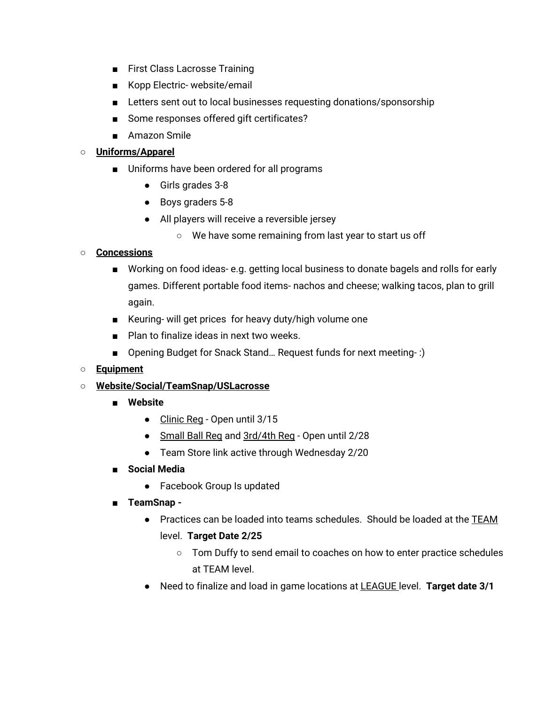- First Class Lacrosse Training
- Kopp Electric- website/email
- Letters sent out to local businesses requesting donations/sponsorship
- Some responses offered gift certificates?
- Amazon Smile

#### ○ **Uniforms/Apparel**

- Uniforms have been ordered for all programs
	- Girls grades 3-8
	- Boys graders 5-8
	- All players will receive a reversible jersey
		- We have some remaining from last year to start us off

#### **○ Concessions**

- Working on food ideas-e.g. getting local business to donate bagels and rolls for early games. Different portable food items- nachos and cheese; walking tacos, plan to grill again.
- Keuring- will get prices for heavy duty/high volume one
- Plan to finalize ideas in next two weeks.
- Opening Budget for Snack Stand... Request funds for next meeting-:)

#### **○ Equipment**

#### ○ **Website/Social/TeamSnap/USLacrosse**

- **■ Website**
	- Clinic Reg Open until 3/15
	- Small Ball Reg and 3rd/4th Reg Open until 2/28
	- Team Store link active through Wednesday 2/20
- **■ Social Media**
	- Facebook Group Is updated
- **■ TeamSnap -**
	- Practices can be loaded into teams schedules. Should be loaded at the TEAM level. **Target Date 2/25**
		- Tom Duffy to send email to coaches on how to enter practice schedules at TEAM level.
	- Need to finalize and load in game locations at LEAGUE level. **Target date 3/1**